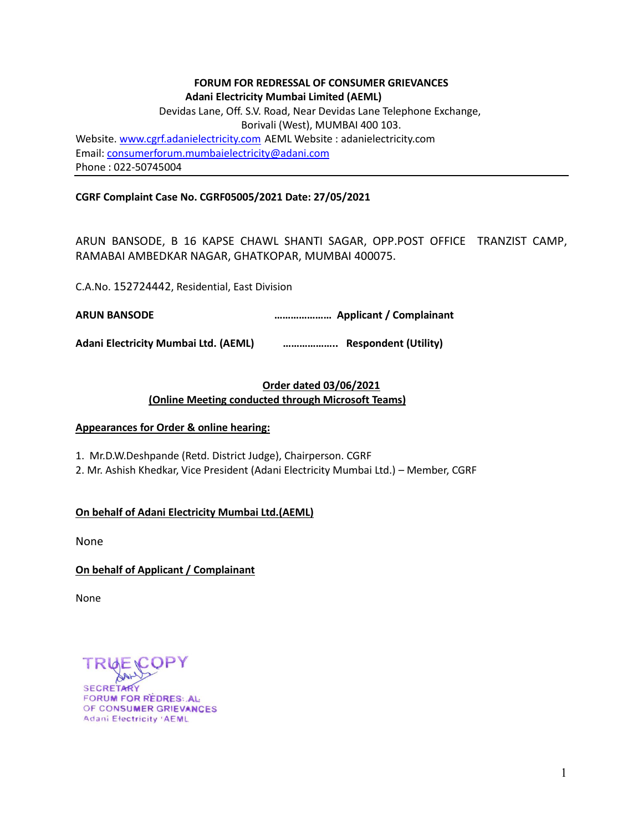### **FORUM FOR REDRESSAL OF CONSUMER GRIEVANCES Adani Electricity Mumbai Limited (AEML)**

Devidas Lane, Off. S.V. Road, Near Devidas Lane Telephone Exchange, Borivali (West), MUMBAI 400 103. Website[. www.cgrf.adanielectricity.com](http://www.cgrf.adanielectricity.com/) AEML Website : adanielectricity.com Email: [consumerforum.mumbaielectricity@adani.com](mailto:consumerforum.mumbaielectricity@adani.com) Phone : 022-50745004

### **CGRF Complaint Case No. CGRF05005/2021 Date: 27/05/2021**

ARUN BANSODE, B 16 KAPSE CHAWL SHANTI SAGAR, OPP.POST OFFICE TRANZIST CAMP, RAMABAI AMBEDKAR NAGAR, GHATKOPAR, MUMBAI 400075.

C.A.No. 152724442, Residential, East Division

**ARUN BANSODE ………………… Applicant / Complainant**

**Adani Electricity Mumbai Ltd. (AEML) ……………….. Respondent (Utility)**

# **Order dated 03/06/2021 (Online Meeting conducted through Microsoft Teams)**

#### **Appearances for Order & online hearing:**

1. Mr.D.W.Deshpande (Retd. District Judge), Chairperson. CGRF

2. Mr. Ashish Khedkar, Vice President (Adani Electricity Mumbai Ltd.) – Member, CGRF

## **On behalf of Adani Electricity Mumbai Ltd.(AEML)**

None

## **On behalf of Applicant / Complainant**

None